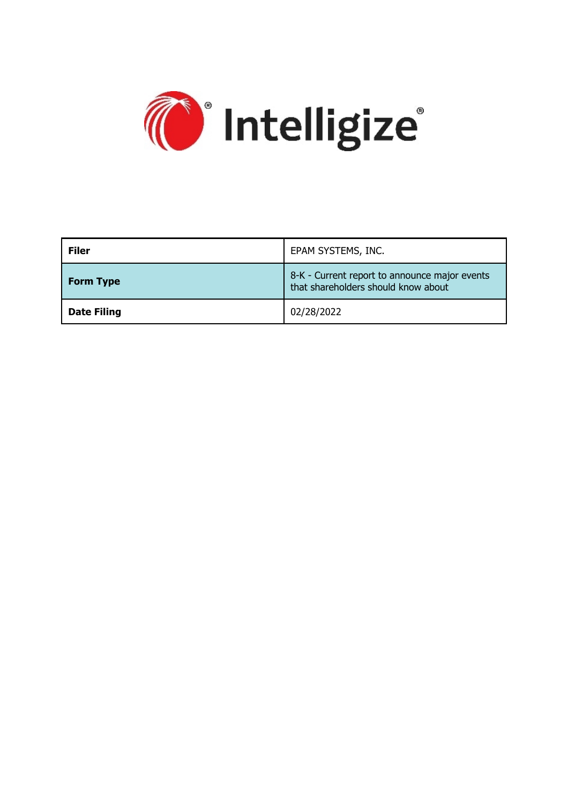

| <b>Filer</b>       | EPAM SYSTEMS, INC.                                                                   |
|--------------------|--------------------------------------------------------------------------------------|
| <b>Form Type</b>   | 8-K - Current report to announce major events<br>that shareholders should know about |
| <b>Date Filing</b> | 02/28/2022                                                                           |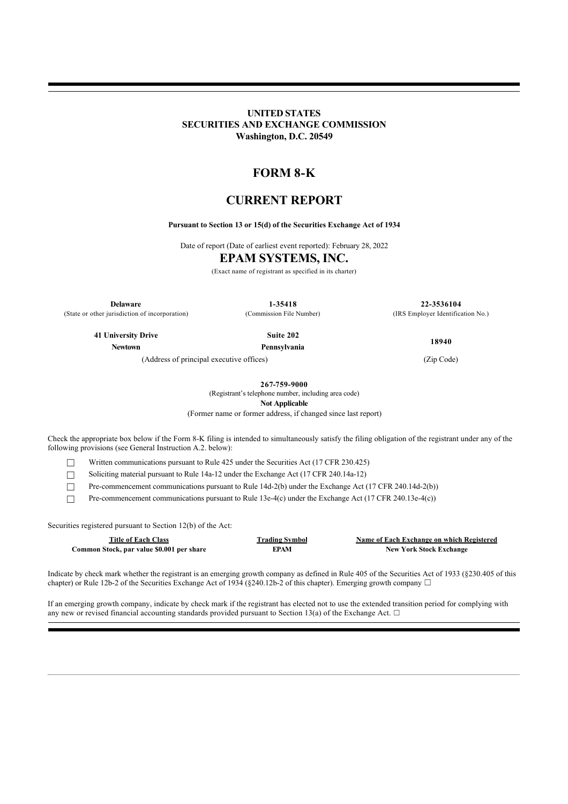## **UNITED STATES SECURITIES AND EXCHANGE COMMISSION Washington, D.C. 20549**

# **FORM 8-K**

# **CURRENT REPORT**

### **Pursuant to Section 13 or 15(d) of the Securities Exchange Act of 1934**

Date of report (Date of earliest event reported): February 28, 2022

# **EPAM SYSTEMS, INC.**

(Exact name of registrant as specified in its charter)

**Delaware 1-35418 22-3536104** (State or other jurisdiction of incorporation) (Commission File Number) (IRS Employer Identification No.)

**41 University Drive Suite 202 Newtown Pennsylvania**

**18940**

(Address of principal executive offices) (Zip Code)

**267-759-9000**

(Registrant's telephone number, including area code)

**Not Applicable**

(Former name or former address, if changed since last report)

Check the appropriate box below if the Form 8-K filing is intended to simultaneously satisfy the filing obligation of the registrant under any of the following provisions (see General Instruction A.2. below):

☐ Written communications pursuant to Rule 425 under the Securities Act (17 CFR 230.425)

☐ Soliciting material pursuant to Rule 14a-12 under the Exchange Act (17 CFR 240.14a-12)

☐ Pre-commencement communications pursuant to Rule 14d-2(b) under the Exchange Act (17 CFR 240.14d-2(b))

 $\Box$  Pre-commencement communications pursuant to Rule 13e-4(c) under the Exchange Act (17 CFR 240.13e-4(c))

Securities registered pursuant to Section 12(b) of the Act:

**Common Stock, par value \$0.001 per share EPAM EPAM New York Stock Exchange** 

**Title of Each Class Trading Symbol Name of Each Exchange on which Registered**

Indicate by check mark whether the registrant is an emerging growth company as defined in Rule 405 of the Securities Act of 1933 (§230.405 of this chapter) or Rule 12b-2 of the Securities Exchange Act of 1934 (§240.12b-2 of this chapter). Emerging growth company  $\Box$ 

If an emerging growth company, indicate by check mark if the registrant has elected not to use the extended transition period for complying with any new or revised financial accounting standards provided pursuant to Section 13(a) of the Exchange Act.  $\Box$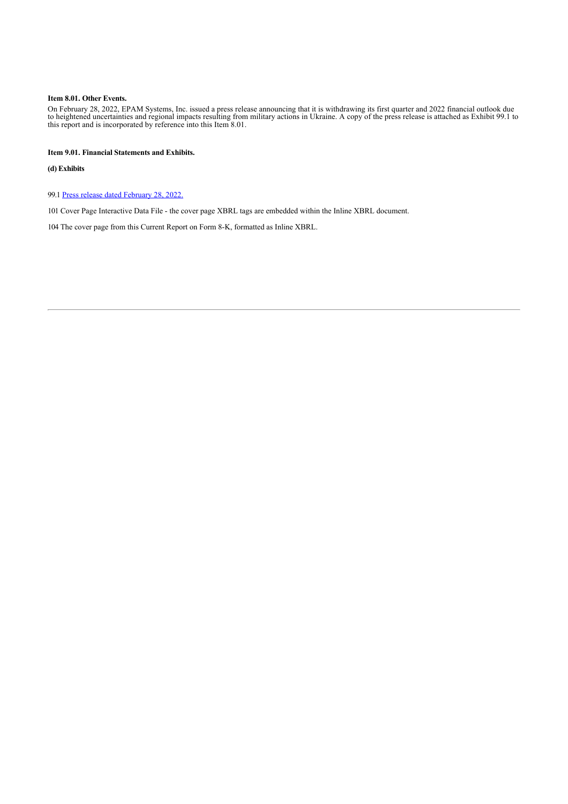### **Item 8.01. Other Events.**

On February 28, 2022, EPAM Systems, Inc. issued a press release announcing that it is withdrawing its first quarter and 2022 financial outlook due to heightened uncertainties and regional impacts resulting from military actions in Ukraine. A copy of the press release is attached as Exhibit 99.1 to this report and is incorporated by reference into this Item 8.01.

### **Item 9.01. Financial Statements and Exhibits.**

#### **(d) Exhibits**

99.1 [Press release dated February 28, 2022.](http://www.sec.gov/Archives/edgar/data/1352010/000135201022000022/exhibit99_q4xprtowithdrawg.htm)

101 Cover Page Interactive Data File - the cover page XBRL tags are embedded within the Inline XBRL document.

104 The cover page from this Current Report on Form 8-K, formatted as Inline XBRL.